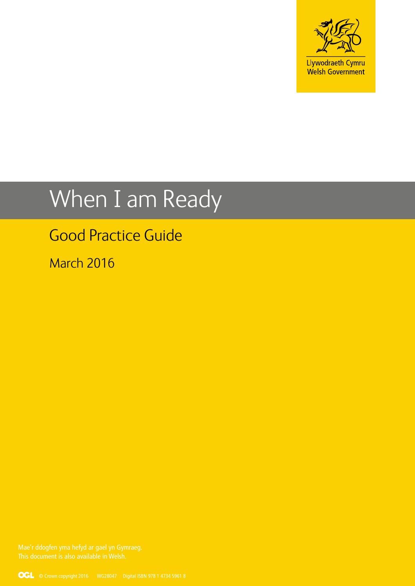

# When I am Ready

# Good Practice Guide

March 2016

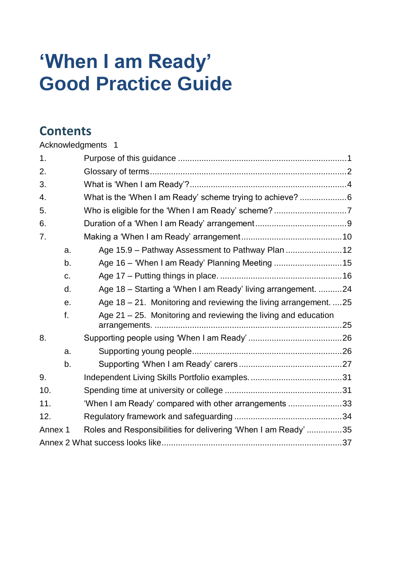# **'When I am Ready' Good Practice Guide**

# **Contents**

[Acknowledgments](#page-2-0) 1

| 1.      |    |                                                                   |  |  |
|---------|----|-------------------------------------------------------------------|--|--|
| 2.      |    |                                                                   |  |  |
| 3.      |    |                                                                   |  |  |
| 4.      |    | What is the 'When I am Ready' scheme trying to achieve? 6         |  |  |
| 5.      |    |                                                                   |  |  |
| 6.      |    |                                                                   |  |  |
| 7.      |    |                                                                   |  |  |
|         | a. | Age 15.9 - Pathway Assessment to Pathway Plan  12                 |  |  |
|         | b. |                                                                   |  |  |
|         | C. |                                                                   |  |  |
|         | d. | Age 18 - Starting a 'When I am Ready' living arrangement. 24      |  |  |
|         | е. | Age 18 – 21. Monitoring and reviewing the living arrangement.  25 |  |  |
|         | f. | Age $21 - 25$ . Monitoring and reviewing the living and education |  |  |
| 8.      |    |                                                                   |  |  |
|         | a. |                                                                   |  |  |
|         | b. |                                                                   |  |  |
| 9.      |    |                                                                   |  |  |
| 10.     |    |                                                                   |  |  |
| 11.     |    | 'When I am Ready' compared with other arrangements 33             |  |  |
| 12.     |    |                                                                   |  |  |
| Annex 1 |    | Roles and Responsibilities for delivering 'When I am Ready' 35    |  |  |
|         |    |                                                                   |  |  |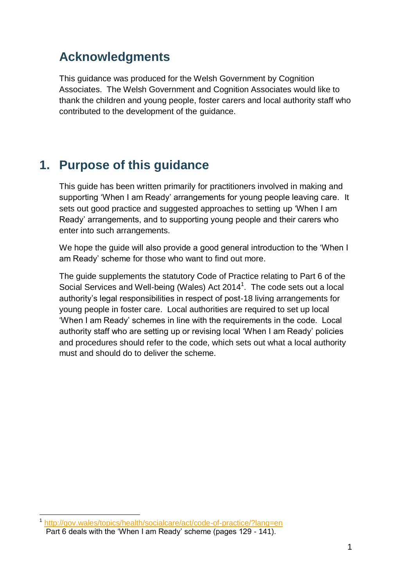# <span id="page-2-0"></span>**Acknowledgments**

This guidance was produced for the Welsh Government by Cognition Associates. The Welsh Government and Cognition Associates would like to thank the children and young people, foster carers and local authority staff who contributed to the development of the guidance.

# <span id="page-2-1"></span>**1. Purpose of this guidance**

This guide has been written primarily for practitioners involved in making and supporting 'When I am Ready' arrangements for young people leaving care. It sets out good practice and suggested approaches to setting up 'When I am Ready' arrangements, and to supporting young people and their carers who enter into such arrangements.

We hope the guide will also provide a good general introduction to the 'When I am Ready' scheme for those who want to find out more.

The guide supplements the statutory Code of Practice relating to Part 6 of the Social Services and Well-being (Wales) Act  $2014<sup>1</sup>$ . The code sets out a local authority's legal responsibilities in respect of post-18 living arrangements for young people in foster care. Local authorities are required to set up local 'When I am Ready' schemes in line with the requirements in the code. Local authority staff who are setting up or revising local 'When I am Ready' policies and procedures should refer to the code, which sets out what a local authority must and should do to deliver the scheme.

<sup>1</sup> 1 <http://gov.wales/topics/health/socialcare/act/code-of-practice/?lang=en> Part 6 deals with the 'When I am Ready' scheme (pages 129 - 141).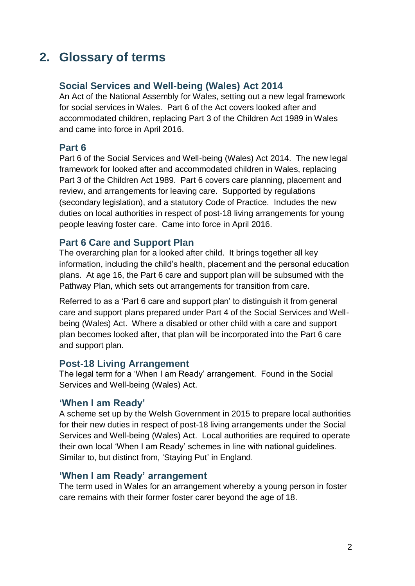# <span id="page-3-0"></span>**2. Glossary of terms**

# **Social Services and Well-being (Wales) Act 2014**

An Act of the National Assembly for Wales, setting out a new legal framework for social services in Wales. Part 6 of the Act covers looked after and accommodated children, replacing Part 3 of the Children Act 1989 in Wales and came into force in April 2016.

# **Part 6**

Part 6 of the Social Services and Well-being (Wales) Act 2014. The new legal framework for looked after and accommodated children in Wales, replacing Part 3 of the Children Act 1989. Part 6 covers care planning, placement and review, and arrangements for leaving care. Supported by regulations (secondary legislation), and a statutory Code of Practice. Includes the new duties on local authorities in respect of post-18 living arrangements for young people leaving foster care. Came into force in April 2016.

#### **Part 6 Care and Support Plan**

The overarching plan for a looked after child. It brings together all key information, including the child's health, placement and the personal education plans. At age 16, the Part 6 care and support plan will be subsumed with the Pathway Plan, which sets out arrangements for transition from care.

Referred to as a 'Part 6 care and support plan' to distinguish it from general care and support plans prepared under Part 4 of the Social Services and Wellbeing (Wales) Act. Where a disabled or other child with a care and support plan becomes looked after, that plan will be incorporated into the Part 6 care and support plan.

# **Post-18 Living Arrangement**

The legal term for a 'When I am Ready' arrangement. Found in the Social Services and Well-being (Wales) Act.

# **'When I am Ready'**

A scheme set up by the Welsh Government in 2015 to prepare local authorities for their new duties in respect of post-18 living arrangements under the Social Services and Well-being (Wales) Act. Local authorities are required to operate their own local 'When I am Ready' schemes in line with national guidelines. Similar to, but distinct from, 'Staying Put' in England.

#### **'When I am Ready' arrangement**

The term used in Wales for an arrangement whereby a young person in foster care remains with their former foster carer beyond the age of 18.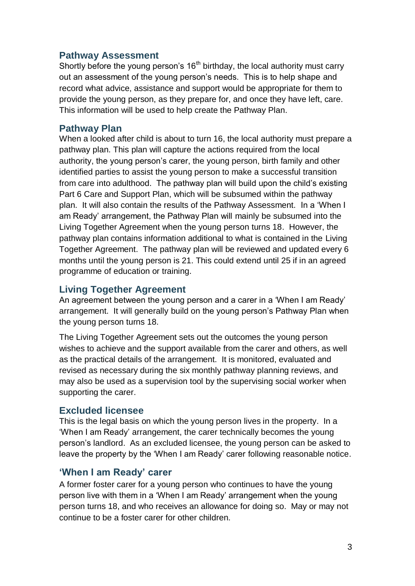# **Pathway Assessment**

Shortly before the young person's  $16<sup>th</sup>$  birthday, the local authority must carry out an assessment of the young person's needs. This is to help shape and record what advice, assistance and support would be appropriate for them to provide the young person, as they prepare for, and once they have left, care. This information will be used to help create the Pathway Plan.

# **Pathway Plan**

When a looked after child is about to turn 16, the local authority must prepare a pathway plan. This plan will capture the actions required from the local authority, the young person's carer, the young person, birth family and other identified parties to assist the young person to make a successful transition from care into adulthood. The pathway plan will build upon the child's existing Part 6 Care and Support Plan, which will be subsumed within the pathway plan. It will also contain the results of the Pathway Assessment. In a 'When I am Ready' arrangement, the Pathway Plan will mainly be subsumed into the Living Together Agreement when the young person turns 18. However, the pathway plan contains information additional to what is contained in the Living Together Agreement. The pathway plan will be reviewed and updated every 6 months until the young person is 21. This could extend until 25 if in an agreed programme of education or training.

# **Living Together Agreement**

An agreement between the young person and a carer in a 'When I am Ready' arrangement. It will generally build on the young person's Pathway Plan when the young person turns 18.

The Living Together Agreement sets out the outcomes the young person wishes to achieve and the support available from the carer and others, as well as the practical details of the arrangement. It is monitored, evaluated and revised as necessary during the six monthly pathway planning reviews, and may also be used as a supervision tool by the supervising social worker when supporting the carer.

# **Excluded licensee**

This is the legal basis on which the young person lives in the property. In a 'When I am Ready' arrangement, the carer technically becomes the young person's landlord. As an excluded licensee, the young person can be asked to leave the property by the 'When I am Ready' carer following reasonable notice.

# **'When I am Ready' carer**

A former foster carer for a young person who continues to have the young person live with them in a 'When I am Ready' arrangement when the young person turns 18, and who receives an allowance for doing so. May or may not continue to be a foster carer for other children.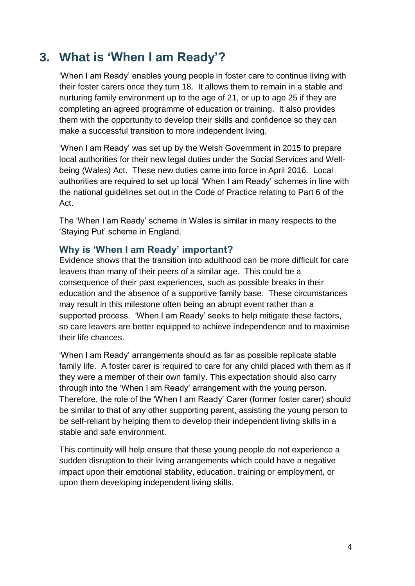# <span id="page-5-0"></span>**3. What is 'When I am Ready'?**

'When I am Ready' enables young people in foster care to continue living with their foster carers once they turn 18. It allows them to remain in a stable and nurturing family environment up to the age of 21, or up to age 25 if they are completing an agreed programme of education or training. It also provides them with the opportunity to develop their skills and confidence so they can make a successful transition to more independent living.

'When I am Ready' was set up by the Welsh Government in 2015 to prepare local authorities for their new legal duties under the Social Services and Wellbeing (Wales) Act. These new duties came into force in April 2016. Local authorities are required to set up local 'When I am Ready' schemes in line with the national guidelines set out in the Code of Practice relating to Part 6 of the Act.

The 'When I am Ready' scheme in Wales is similar in many respects to the 'Staying Put' scheme in England.

# **Why is 'When I am Ready' important?**

Evidence shows that the transition into adulthood can be more difficult for care leavers than many of their peers of a similar age. This could be a consequence of their past experiences, such as possible breaks in their education and the absence of a supportive family base. These circumstances may result in this milestone often being an abrupt event rather than a supported process. 'When I am Ready' seeks to help mitigate these factors, so care leavers are better equipped to achieve independence and to maximise their life chances.

'When I am Ready' arrangements should as far as possible replicate stable family life. A foster carer is required to care for any child placed with them as if they were a member of their own family. This expectation should also carry through into the 'When I am Ready' arrangement with the young person. Therefore, the role of the 'When I am Ready' Carer (former foster carer) should be similar to that of any other supporting parent, assisting the young person to be self-reliant by helping them to develop their independent living skills in a stable and safe environment.

This continuity will help ensure that these young people do not experience a sudden disruption to their living arrangements which could have a negative impact upon their emotional stability, education, training or employment, or upon them developing independent living skills.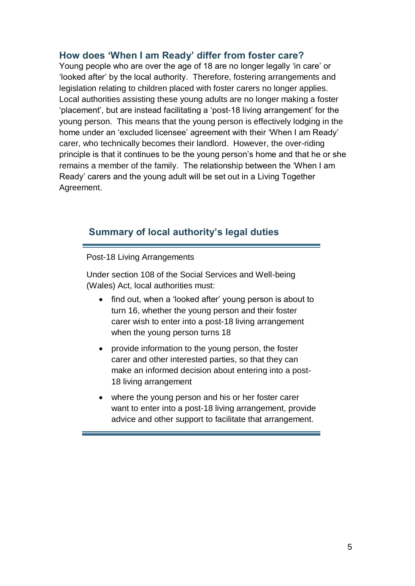# **How does 'When I am Ready' differ from foster care?**

Young people who are over the age of 18 are no longer legally 'in care' or 'looked after' by the local authority. Therefore, fostering arrangements and legislation relating to children placed with foster carers no longer applies. Local authorities assisting these young adults are no longer making a foster 'placement', but are instead facilitating a 'post-18 living arrangement' for the young person. This means that the young person is effectively lodging in the home under an 'excluded licensee' agreement with their 'When I am Ready' carer, who technically becomes their landlord. However, the over-riding principle is that it continues to be the young person's home and that he or she remains a member of the family. The relationship between the 'When I am Ready' carers and the young adult will be set out in a Living Together Agreement.

# **Summary of local authority's legal duties**

Post-18 Living Arrangements

Under section 108 of the Social Services and Well-being (Wales) Act, local authorities must:

- find out, when a 'looked after' young person is about to turn 16, whether the young person and their foster carer wish to enter into a post-18 living arrangement when the young person turns 18
- provide information to the young person, the foster carer and other interested parties, so that they can make an informed decision about entering into a post-18 living arrangement
- where the young person and his or her foster carer want to enter into a post-18 living arrangement, provide advice and other support to facilitate that arrangement.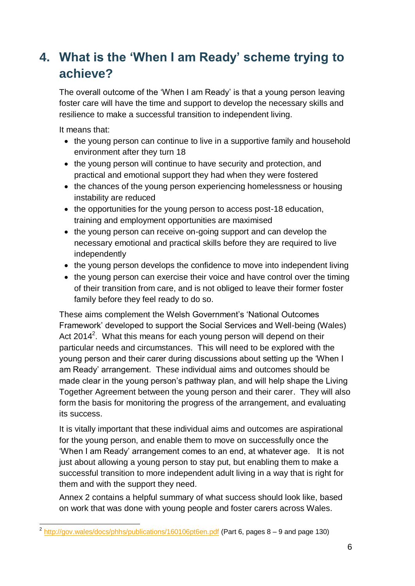# <span id="page-7-0"></span>**4. What is the 'When I am Ready' scheme trying to achieve?**

The overall outcome of the 'When I am Ready' is that a young person leaving foster care will have the time and support to develop the necessary skills and resilience to make a successful transition to independent living.

It means that:

- the young person can continue to live in a supportive family and household environment after they turn 18
- the young person will continue to have security and protection, and practical and emotional support they had when they were fostered
- the chances of the young person experiencing homelessness or housing instability are reduced
- the opportunities for the young person to access post-18 education, training and employment opportunities are maximised
- the young person can receive on-going support and can develop the necessary emotional and practical skills before they are required to live independently
- the young person develops the confidence to move into independent living
- the young person can exercise their voice and have control over the timing of their transition from care, and is not obliged to leave their former foster family before they feel ready to do so.

These aims complement the Welsh Government's 'National Outcomes Framework' developed to support the Social Services and Well-being (Wales) Act 2014<sup>2</sup>. What this means for each young person will depend on their particular needs and circumstances. This will need to be explored with the young person and their carer during discussions about setting up the 'When I am Ready' arrangement. These individual aims and outcomes should be made clear in the young person's pathway plan, and will help shape the Living Together Agreement between the young person and their carer. They will also form the basis for monitoring the progress of the arrangement, and evaluating its success.

It is vitally important that these individual aims and outcomes are aspirational for the young person, and enable them to move on successfully once the 'When I am Ready' arrangement comes to an end, at whatever age. It is not just about allowing a young person to stay put, but enabling them to make a successful transition to more independent adult living in a way that is right for them and with the support they need.

Annex 2 contains a helpful summary of what success should look like, based on work that was done with young people and foster carers across Wales.

 2 <http://gov.wales/docs/phhs/publications/160106pt6en.pdf> (Part 6, pages 8 – 9 and page 130)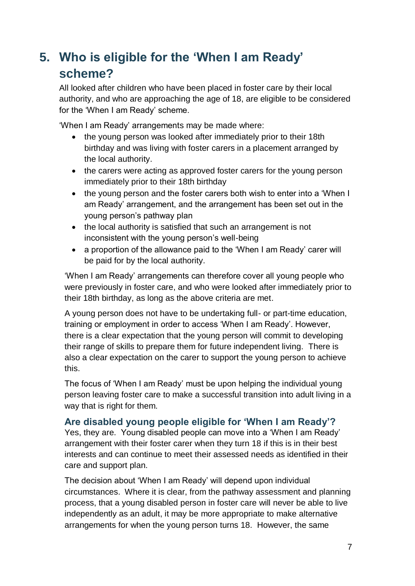# <span id="page-8-0"></span>**5. Who is eligible for the 'When I am Ready' scheme?**

All looked after children who have been placed in foster care by their local authority, and who are approaching the age of 18, are eligible to be considered for the 'When I am Ready' scheme.

'When I am Ready' arrangements may be made where:

- the young person was looked after immediately prior to their 18th birthday and was living with foster carers in a placement arranged by the local authority.
- the carers were acting as approved foster carers for the young person immediately prior to their 18th birthday
- the young person and the foster carers both wish to enter into a 'When I am Ready' arrangement, and the arrangement has been set out in the young person's pathway plan
- the local authority is satisfied that such an arrangement is not inconsistent with the young person's well-being
- a proportion of the allowance paid to the 'When I am Ready' carer will be paid for by the local authority.

'When I am Ready' arrangements can therefore cover all young people who were previously in foster care, and who were looked after immediately prior to their 18th birthday, as long as the above criteria are met.

A young person does not have to be undertaking full- or part-time education, training or employment in order to access 'When I am Ready'. However, there is a clear expectation that the young person will commit to developing their range of skills to prepare them for future independent living. There is also a clear expectation on the carer to support the young person to achieve this.

The focus of 'When I am Ready' must be upon helping the individual young person leaving foster care to make a successful transition into adult living in a way that is right for them.

# **Are disabled young people eligible for 'When I am Ready'?**

Yes, they are. Young disabled people can move into a 'When I am Ready' arrangement with their foster carer when they turn 18 if this is in their best interests and can continue to meet their assessed needs as identified in their care and support plan.

The decision about 'When I am Ready' will depend upon individual circumstances. Where it is clear, from the pathway assessment and planning process, that a young disabled person in foster care will never be able to live independently as an adult, it may be more appropriate to make alternative arrangements for when the young person turns 18. However, the same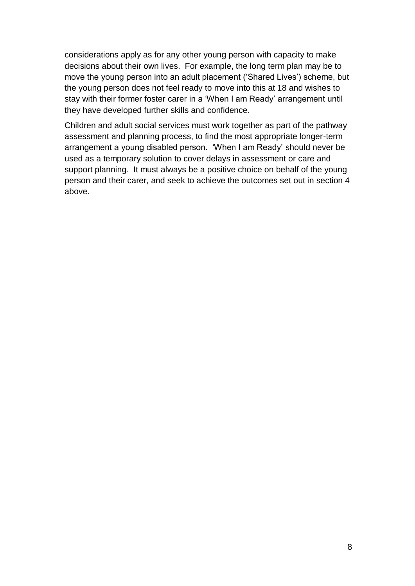considerations apply as for any other young person with capacity to make decisions about their own lives. For example, the long term plan may be to move the young person into an adult placement ('Shared Lives') scheme, but the young person does not feel ready to move into this at 18 and wishes to stay with their former foster carer in a 'When I am Ready' arrangement until they have developed further skills and confidence.

Children and adult social services must work together as part of the pathway assessment and planning process, to find the most appropriate longer-term arrangement a young disabled person. 'When I am Ready' should never be used as a temporary solution to cover delays in assessment or care and support planning. It must always be a positive choice on behalf of the young person and their carer, and seek to achieve the outcomes set out in section 4 above.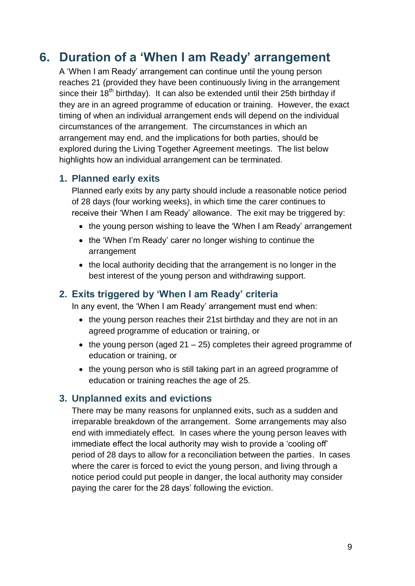# <span id="page-10-0"></span>**6. Duration of a 'When I am Ready' arrangement**

A 'When I am Ready' arrangement can continue until the young person reaches 21 (provided they have been continuously living in the arrangement since their 18<sup>th</sup> birthday). It can also be extended until their 25th birthday if they are in an agreed programme of education or training. However, the exact timing of when an individual arrangement ends will depend on the individual circumstances of the arrangement. The circumstances in which an arrangement may end, and the implications for both parties, should be explored during the Living Together Agreement meetings. The list below highlights how an individual arrangement can be terminated.

# **1. Planned early exits**

Planned early exits by any party should include a reasonable notice period of 28 days (four working weeks), in which time the carer continues to receive their 'When I am Ready' allowance. The exit may be triggered by:

- the young person wishing to leave the 'When I am Ready' arrangement
- the 'When I'm Ready' carer no longer wishing to continue the arrangement
- the local authority deciding that the arrangement is no longer in the best interest of the young person and withdrawing support.

# **2. Exits triggered by 'When I am Ready' criteria**

In any event, the 'When I am Ready' arrangement must end when:

- the young person reaches their 21st birthday and they are not in an agreed programme of education or training, or
- $\bullet$  the young person (aged 21 25) completes their agreed programme of education or training, or
- the young person who is still taking part in an agreed programme of education or training reaches the age of 25.

#### **3. Unplanned exits and evictions**

There may be many reasons for unplanned exits, such as a sudden and irreparable breakdown of the arrangement. Some arrangements may also end with immediately effect. In cases where the young person leaves with immediate effect the local authority may wish to provide a 'cooling off' period of 28 days to allow for a reconciliation between the parties. In cases where the carer is forced to evict the young person, and living through a notice period could put people in danger, the local authority may consider paying the carer for the 28 days' following the eviction.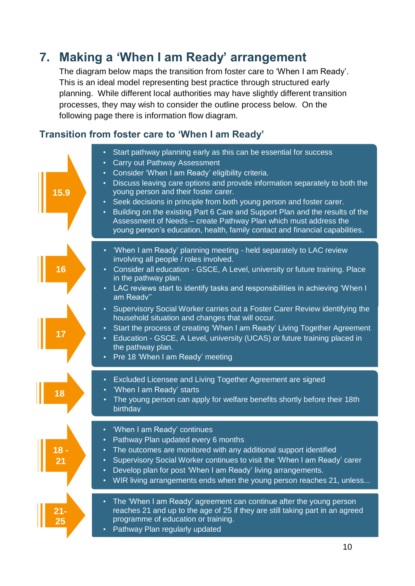# <span id="page-11-0"></span>**7. Making a 'When I am Ready' arrangement**

The diagram below maps the transition from foster care to 'When I am Ready'. This is an ideal model representing best practice through structured early planning. While different local authorities may have slightly different transition processes, they may wish to consider the outline process below. On the following page there is information flow diagram.

# **Transition from foster care to 'When I am Ready'**

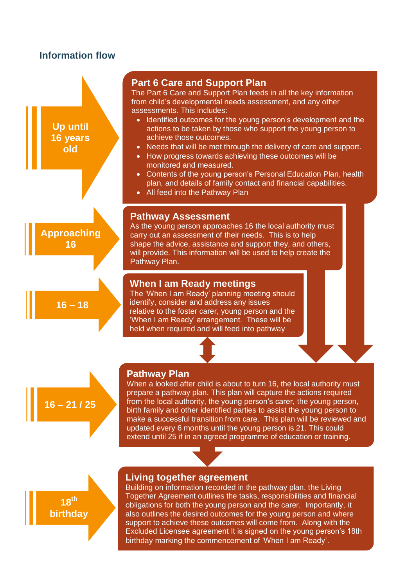# **Information flow**



# **Part 6 Care and Support Plan**

The Part 6 Care and Support Plan feeds in all the key information from child's developmental needs assessment, and any other assessments. This includes:

- Identified outcomes for the young person's development and the actions to be taken by those who support the young person to achieve those outcomes.
- Needs that will be met through the delivery of care and support.
- How progress towards achieving these outcomes will be monitored and measured.
- Contents of the young person's Personal Education Plan, health plan, and details of family contact and financial capabilities.
- All feed into the Pathway Plan

#### **Pathway Assessment**

As the young person approaches 16 the local authority must carry out an assessment of their needs. This is to help shape the advice, assistance and support they, and others, will provide. This information will be used to help create the Pathway Plan.

#### **When I am Ready meetings**

The 'When I am Ready' planning meeting should identify, consider and address any issues relative to the foster carer, young person and the 'When I am Ready' arrangement. These will be held when required and will feed into pathway



# **Pathway Plan**

plan<br>plan<br>plan

When a looked after child is about to turn 16, the local authority must prepare a pathway plan. This plan will capture the actions required from the local authority, the young person's carer, the young person, birth family and other identified parties to assist the young person to make a successful transition from care. This plan will be reviewed and updated every 6 months until the young person is 21. This could extend until 25 if in an agreed programme of education or training.

**18th birthday**

#### **Living together agreement**

11<br>111 - Johannes<br>111 - Johannes Building on information recorded in the pathway plan, the Living Together Agreement outlines the tasks, responsibilities and financial obligations for both the young person and the carer. Importantly, it also outlines the desired outcomes for the young person and where support to achieve these outcomes will come from. Along with the Excluded Licensee agreement It is signed on the young person's 18th birthday marking the commencement of 'When I am Ready'.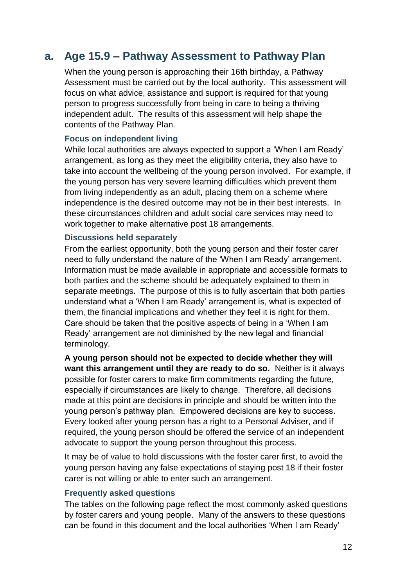# <span id="page-13-0"></span>**a. Age 15.9 – Pathway Assessment to Pathway Plan**

When the young person is approaching their 16th birthday, a Pathway Assessment must be carried out by the local authority. This assessment will focus on what advice, assistance and support is required for that young person to progress successfully from being in care to being a thriving independent adult. The results of this assessment will help shape the contents of the Pathway Plan.

#### **Focus on independent living**

While local authorities are always expected to support a 'When I am Ready' arrangement, as long as they meet the eligibility criteria, they also have to take into account the wellbeing of the young person involved. For example, if the young person has very severe learning difficulties which prevent them from living independently as an adult, placing them on a scheme where independence is the desired outcome may not be in their best interests. In these circumstances children and adult social care services may need to work together to make alternative post 18 arrangements.

#### **Discussions held separately**

From the earliest opportunity, both the young person and their foster carer need to fully understand the nature of the 'When I am Ready' arrangement. Information must be made available in appropriate and accessible formats to both parties and the scheme should be adequately explained to them in separate meetings. The purpose of this is to fully ascertain that both parties understand what a 'When I am Ready' arrangement is, what is expected of them, the financial implications and whether they feel it is right for them. Care should be taken that the positive aspects of being in a 'When I am Ready' arrangement are not diminished by the new legal and financial terminology.

**A young person should not be expected to decide whether they will want this arrangement until they are ready to do so.** Neither is it always possible for foster carers to make firm commitments regarding the future, especially if circumstances are likely to change. Therefore, all decisions made at this point are decisions in principle and should be written into the young person's pathway plan. Empowered decisions are key to success. Every looked after young person has a right to a Personal Adviser, and if required, the young person should be offered the service of an independent advocate to support the young person throughout this process.

It may be of value to hold discussions with the foster carer first, to avoid the young person having any false expectations of staying post 18 if their foster carer is not willing or able to enter such an arrangement.

#### **Frequently asked questions**

The tables on the following page reflect the most commonly asked questions by foster carers and young people. Many of the answers to these questions can be found in this document and the local authorities 'When I am Ready'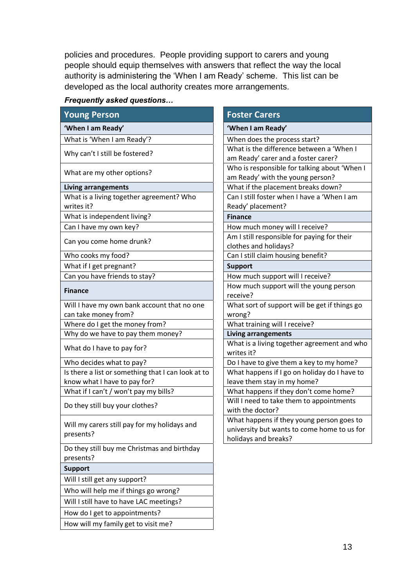policies and procedures. People providing support to carers and young people should equip themselves with answers that reflect the way the local authority is administering the 'When I am Ready' scheme. This list can be developed as the local authority creates more arrangements.

#### *Frequently asked questions…*

| <b>Young Person</b>                                    |  |
|--------------------------------------------------------|--|
| 'When I am Ready'                                      |  |
| What is 'When I am Ready'?                             |  |
| Why can't I still be fostered?                         |  |
|                                                        |  |
| What are my other options?                             |  |
|                                                        |  |
| <b>Living arrangements</b>                             |  |
| What is a living together agreement? Who<br>writes it? |  |
|                                                        |  |
| What is independent living?                            |  |
| Can I have my own key?                                 |  |
| Can you come home drunk?                               |  |
| Who cooks my food?                                     |  |
|                                                        |  |
| What if I get pregnant?                                |  |
| Can you have friends to stay?                          |  |
| <b>Finance</b>                                         |  |
| Will I have my own bank account that no one            |  |
| can take money from?                                   |  |
| Where do I get the money from?                         |  |
| Why do we have to pay them money?                      |  |
|                                                        |  |
| What do I have to pay for?                             |  |
| Who decides what to pay?                               |  |
| Is there a list or something that I can look at to     |  |
| know what I have to pay for?                           |  |
| What if I can't / won't pay my bills?                  |  |
| Do they still buy your clothes?                        |  |
|                                                        |  |
| Will my carers still pay for my holidays and           |  |
| presents?                                              |  |
|                                                        |  |
| Do they still buy me Christmas and birthday            |  |
| presents?                                              |  |
| <b>Support</b>                                         |  |
| Will I still get any support?                          |  |
| Who will help me if things go wrong?                   |  |
| Will I still have to have LAC meetings?                |  |
| How do I get to appointments?                          |  |
| How will my family get to visit me?                    |  |
|                                                        |  |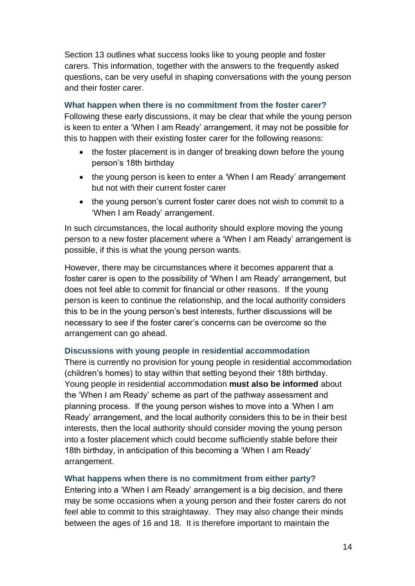Section 13 outlines what success looks like to young people and foster carers. This information, together with the answers to the frequently asked questions, can be very useful in shaping conversations with the young person and their foster carer.

# **What happen when there is no commitment from the foster carer?**

Following these early discussions, it may be clear that while the young person is keen to enter a 'When I am Ready' arrangement, it may not be possible for this to happen with their existing foster carer for the following reasons:

- the foster placement is in danger of breaking down before the young person's 18th birthday
- the young person is keen to enter a 'When I am Ready' arrangement but not with their current foster carer
- the young person's current foster carer does not wish to commit to a 'When I am Ready' arrangement.

In such circumstances, the local authority should explore moving the young person to a new foster placement where a 'When I am Ready' arrangement is possible, if this is what the young person wants.

However, there may be circumstances where it becomes apparent that a foster carer is open to the possibility of 'When I am Ready' arrangement, but does not feel able to commit for financial or other reasons. If the young person is keen to continue the relationship, and the local authority considers this to be in the young person's best interests, further discussions will be necessary to see if the foster carer's concerns can be overcome so the arrangement can go ahead.

# **Discussions with young people in residential accommodation**

There is currently no provision for young people in residential accommodation (children's homes) to stay within that setting beyond their 18th birthday. Young people in residential accommodation **must also be informed** about the 'When I am Ready' scheme as part of the pathway assessment and planning process. If the young person wishes to move into a 'When I am Ready' arrangement, and the local authority considers this to be in their best interests, then the local authority should consider moving the young person into a foster placement which could become sufficiently stable before their 18th birthday, in anticipation of this becoming a 'When I am Ready' arrangement.

# **What happens when there is no commitment from either party?**

Entering into a 'When I am Ready' arrangement is a big decision, and there may be some occasions when a young person and their foster carers do not feel able to commit to this straightaway. They may also change their minds between the ages of 16 and 18. It is therefore important to maintain the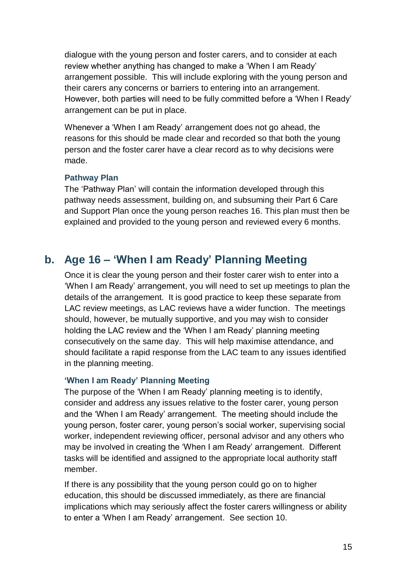dialogue with the young person and foster carers, and to consider at each review whether anything has changed to make a 'When I am Ready' arrangement possible. This will include exploring with the young person and their carers any concerns or barriers to entering into an arrangement. However, both parties will need to be fully committed before a 'When I Ready' arrangement can be put in place.

Whenever a 'When I am Ready' arrangement does not go ahead, the reasons for this should be made clear and recorded so that both the young person and the foster carer have a clear record as to why decisions were made.

#### **Pathway Plan**

The 'Pathway Plan' will contain the information developed through this pathway needs assessment, building on, and subsuming their Part 6 Care and Support Plan once the young person reaches 16. This plan must then be explained and provided to the young person and reviewed every 6 months.

# <span id="page-16-0"></span>**b. Age 16 – 'When I am Ready' Planning Meeting**

Once it is clear the young person and their foster carer wish to enter into a 'When I am Ready' arrangement, you will need to set up meetings to plan the details of the arrangement. It is good practice to keep these separate from LAC review meetings, as LAC reviews have a wider function. The meetings should, however, be mutually supportive, and you may wish to consider holding the LAC review and the 'When I am Ready' planning meeting consecutively on the same day. This will help maximise attendance, and should facilitate a rapid response from the LAC team to any issues identified in the planning meeting.

# **'When I am Ready' Planning Meeting**

The purpose of the 'When I am Ready' planning meeting is to identify, consider and address any issues relative to the foster carer, young person and the 'When I am Ready' arrangement. The meeting should include the young person, foster carer, young person's social worker, supervising social worker, independent reviewing officer, personal advisor and any others who may be involved in creating the 'When I am Ready' arrangement. Different tasks will be identified and assigned to the appropriate local authority staff member.

If there is any possibility that the young person could go on to higher education, this should be discussed immediately, as there are financial implications which may seriously affect the foster carers willingness or ability to enter a 'When I am Ready' arrangement. See section 10.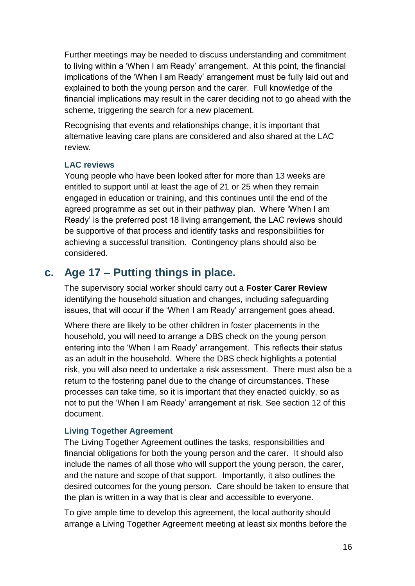Further meetings may be needed to discuss understanding and commitment to living within a 'When I am Ready' arrangement. At this point, the financial implications of the 'When I am Ready' arrangement must be fully laid out and explained to both the young person and the carer. Full knowledge of the financial implications may result in the carer deciding not to go ahead with the scheme, triggering the search for a new placement.

Recognising that events and relationships change, it is important that alternative leaving care plans are considered and also shared at the LAC review.

# **LAC reviews**

Young people who have been looked after for more than 13 weeks are entitled to support until at least the age of 21 or 25 when they remain engaged in education or training, and this continues until the end of the agreed programme as set out in their pathway plan. Where 'When I am Ready' is the preferred post 18 living arrangement, the LAC reviews should be supportive of that process and identify tasks and responsibilities for achieving a successful transition. Contingency plans should also be considered.

# <span id="page-17-0"></span>**c. Age 17 – Putting things in place.**

The supervisory social worker should carry out a **Foster Carer Review** identifying the household situation and changes, including safeguarding issues, that will occur if the 'When I am Ready' arrangement goes ahead.

Where there are likely to be other children in foster placements in the household, you will need to arrange a DBS check on the young person entering into the 'When I am Ready' arrangement. This reflects their status as an adult in the household. Where the DBS check highlights a potential risk, you will also need to undertake a risk assessment. There must also be a return to the fostering panel due to the change of circumstances. These processes can take time, so it is important that they enacted quickly, so as not to put the 'When I am Ready' arrangement at risk. See section 12 of this document.

# **Living Together Agreement**

The Living Together Agreement outlines the tasks, responsibilities and financial obligations for both the young person and the carer. It should also include the names of all those who will support the young person, the carer, and the nature and scope of that support. Importantly, it also outlines the desired outcomes for the young person. Care should be taken to ensure that the plan is written in a way that is clear and accessible to everyone.

To give ample time to develop this agreement, the local authority should arrange a Living Together Agreement meeting at least six months before the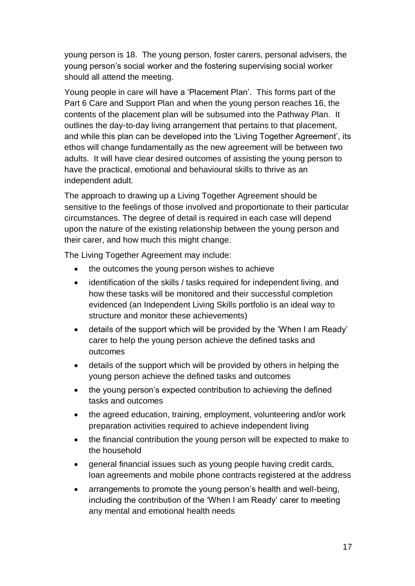young person is 18. The young person, foster carers, personal advisers, the young person's social worker and the fostering supervising social worker should all attend the meeting.

Young people in care will have a 'Placement Plan'. This forms part of the Part 6 Care and Support Plan and when the young person reaches 16, the contents of the placement plan will be subsumed into the Pathway Plan. It outlines the day-to-day living arrangement that pertains to that placement, and while this plan can be developed into the 'Living Together Agreement', its ethos will change fundamentally as the new agreement will be between two adults. It will have clear desired outcomes of assisting the young person to have the practical, emotional and behavioural skills to thrive as an independent adult.

The approach to drawing up a Living Together Agreement should be sensitive to the feelings of those involved and proportionate to their particular circumstances. The degree of detail is required in each case will depend upon the nature of the existing relationship between the young person and their carer, and how much this might change.

The Living Together Agreement may include:

- the outcomes the young person wishes to achieve
- identification of the skills / tasks required for independent living, and how these tasks will be monitored and their successful completion evidenced (an Independent Living Skills portfolio is an ideal way to structure and monitor these achievements)
- details of the support which will be provided by the 'When I am Ready' carer to help the young person achieve the defined tasks and outcomes
- details of the support which will be provided by others in helping the young person achieve the defined tasks and outcomes
- the young person's expected contribution to achieving the defined tasks and outcomes
- the agreed education, training, employment, volunteering and/or work preparation activities required to achieve independent living
- the financial contribution the young person will be expected to make to the household
- general financial issues such as young people having credit cards, loan agreements and mobile phone contracts registered at the address
- arrangements to promote the young person's health and well-being, including the contribution of the 'When I am Ready' carer to meeting any mental and emotional health needs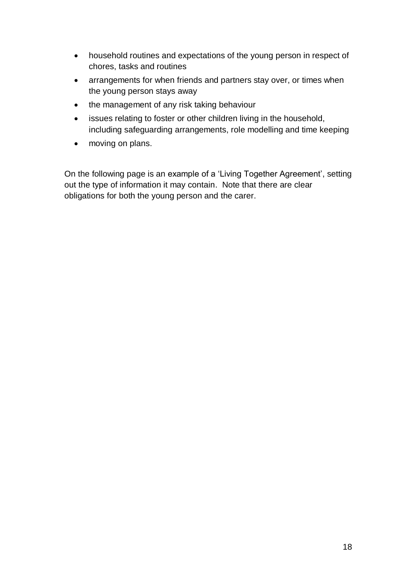- household routines and expectations of the young person in respect of chores, tasks and routines
- arrangements for when friends and partners stay over, or times when the young person stays away
- the management of any risk taking behaviour
- issues relating to foster or other children living in the household, including safeguarding arrangements, role modelling and time keeping
- moving on plans.

On the following page is an example of a 'Living Together Agreement', setting out the type of information it may contain. Note that there are clear obligations for both the young person and the carer.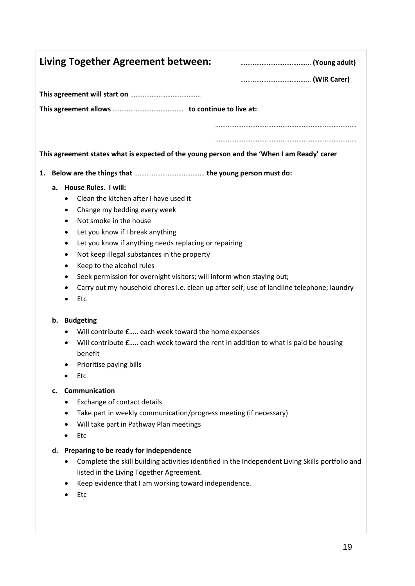|    |  | Living Together Agreement between:                                                         |  |
|----|--|--------------------------------------------------------------------------------------------|--|
|    |  |                                                                                            |  |
|    |  |                                                                                            |  |
|    |  |                                                                                            |  |
|    |  |                                                                                            |  |
|    |  |                                                                                            |  |
|    |  | This agreement states what is expected of the young person and the 'When I am Ready' carer |  |
| 1. |  |                                                                                            |  |
|    |  | a. House Rules. I will:                                                                    |  |
|    |  | Clean the kitchen after I have used it<br>$\bullet$                                        |  |
|    |  | Change my bedding every week                                                               |  |

- Not smoke in the house
- Let you know if I break anything
- Let you know if anything needs replacing or repairing
- Not keep illegal substances in the property
- Keep to the alcohol rules
- Seek permission for overnight visitors; will inform when staying out;
- Carry out my household chores i.e. clean up after self; use of landline telephone; laundry
- $\bullet$  Etc

#### **b. Budgeting**

- Will contribute £….. each week toward the home expenses
- Will contribute £….. each week toward the rent in addition to what is paid be housing benefit
- Prioritise paying bills
- $\bullet$  Etc

#### **c. Communication**

- Exchange of contact details
- Take part in weekly communication/progress meeting (if necessary)
- Will take part in Pathway Plan meetings
- $\bullet$  Etc

#### **d. Preparing to be ready for independence**

- Complete the skill building activities identified in the Independent Living Skills portfolio and listed in the Living Together Agreement.
- Keep evidence that I am working toward independence.
- $\bullet$  Etc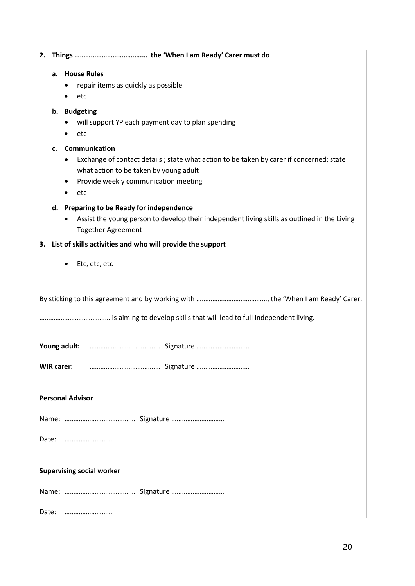| 2.    |                          |                                                                                                   |  |  |
|-------|--------------------------|---------------------------------------------------------------------------------------------------|--|--|
|       | <b>House Rules</b><br>a. |                                                                                                   |  |  |
|       |                          | repair items as quickly as possible<br>٠                                                          |  |  |
|       |                          | etc                                                                                               |  |  |
|       |                          | b. Budgeting                                                                                      |  |  |
|       |                          | will support YP each payment day to plan spending                                                 |  |  |
|       |                          | etc                                                                                               |  |  |
|       | c.                       | Communication                                                                                     |  |  |
|       |                          | Exchange of contact details; state what action to be taken by carer if concerned; state<br>٠      |  |  |
|       |                          | what action to be taken by young adult                                                            |  |  |
|       |                          | Provide weekly communication meeting<br>٠                                                         |  |  |
|       |                          | etc                                                                                               |  |  |
|       | d.                       | <b>Preparing to be Ready for independence</b>                                                     |  |  |
|       |                          | Assist the young person to develop their independent living skills as outlined in the Living<br>٠ |  |  |
|       |                          | <b>Together Agreement</b>                                                                         |  |  |
| 3.    |                          | List of skills activities and who will provide the support                                        |  |  |
|       |                          |                                                                                                   |  |  |
|       |                          | Etc, etc, etc<br>$\bullet$                                                                        |  |  |
|       |                          |                                                                                                   |  |  |
|       |                          |                                                                                                   |  |  |
|       |                          |                                                                                                   |  |  |
|       |                          | is aiming to develop skills that will lead to full independent living.                            |  |  |
|       |                          |                                                                                                   |  |  |
|       |                          |                                                                                                   |  |  |
|       |                          |                                                                                                   |  |  |
|       |                          |                                                                                                   |  |  |
|       |                          |                                                                                                   |  |  |
|       |                          |                                                                                                   |  |  |
|       |                          | <b>Personal Advisor</b>                                                                           |  |  |
|       |                          |                                                                                                   |  |  |
|       |                          |                                                                                                   |  |  |
|       |                          |                                                                                                   |  |  |
|       |                          |                                                                                                   |  |  |
|       |                          |                                                                                                   |  |  |
|       |                          | <b>Supervising social worker</b>                                                                  |  |  |
|       |                          |                                                                                                   |  |  |
|       |                          |                                                                                                   |  |  |
| Date: |                          |                                                                                                   |  |  |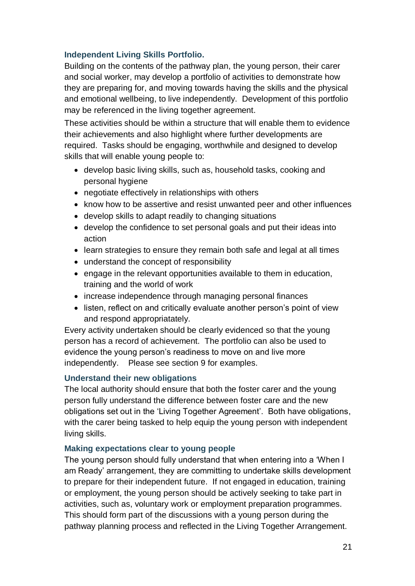# **Independent Living Skills Portfolio.**

Building on the contents of the pathway plan, the young person, their carer and social worker, may develop a portfolio of activities to demonstrate how they are preparing for, and moving towards having the skills and the physical and emotional wellbeing, to live independently. Development of this portfolio may be referenced in the living together agreement.

These activities should be within a structure that will enable them to evidence their achievements and also highlight where further developments are required. Tasks should be engaging, worthwhile and designed to develop skills that will enable young people to:

- develop basic living skills, such as, household tasks, cooking and personal hygiene
- negotiate effectively in relationships with others
- know how to be assertive and resist unwanted peer and other influences
- develop skills to adapt readily to changing situations
- develop the confidence to set personal goals and put their ideas into action
- learn strategies to ensure they remain both safe and legal at all times
- understand the concept of responsibility
- engage in the relevant opportunities available to them in education, training and the world of work
- increase independence through managing personal finances
- listen, reflect on and critically evaluate another person's point of view and respond appropriatately.

Every activity undertaken should be clearly evidenced so that the young person has a record of achievement. The portfolio can also be used to evidence the young person's readiness to move on and live more independently. Please see section 9 for examples.

# **Understand their new obligations**

The local authority should ensure that both the foster carer and the young person fully understand the difference between foster care and the new obligations set out in the 'Living Together Agreement'. Both have obligations, with the carer being tasked to help equip the young person with independent living skills.

# **Making expectations clear to young people**

The young person should fully understand that when entering into a 'When I am Ready' arrangement, they are committing to undertake skills development to prepare for their independent future. If not engaged in education, training or employment, the young person should be actively seeking to take part in activities, such as, voluntary work or employment preparation programmes. This should form part of the discussions with a young person during the pathway planning process and reflected in the Living Together Arrangement.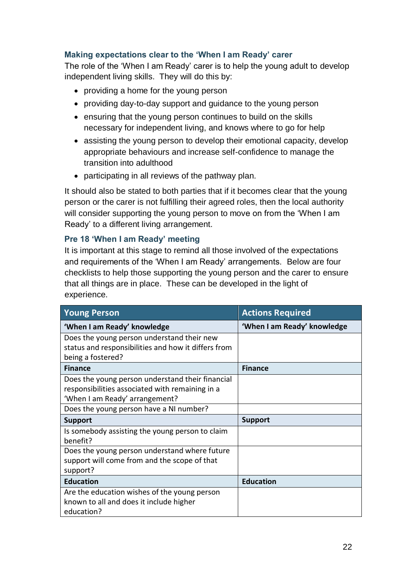# **Making expectations clear to the 'When I am Ready' carer**

The role of the 'When I am Ready' carer is to help the young adult to develop independent living skills. They will do this by:

- providing a home for the young person
- providing day-to-day support and guidance to the young person
- ensuring that the young person continues to build on the skills necessary for independent living, and knows where to go for help
- assisting the young person to develop their emotional capacity, develop appropriate behaviours and increase self-confidence to manage the transition into adulthood
- participating in all reviews of the pathway plan.

It should also be stated to both parties that if it becomes clear that the young person or the carer is not fulfilling their agreed roles, then the local authority will consider supporting the young person to move on from the 'When I am Ready' to a different living arrangement.

# **Pre 18 'When I am Ready' meeting**

It is important at this stage to remind all those involved of the expectations and requirements of the 'When I am Ready' arrangements. Below are four checklists to help those supporting the young person and the carer to ensure that all things are in place. These can be developed in the light of experience.

| <b>Young Person</b>                                                                                                                   | <b>Actions Required</b>     |  |
|---------------------------------------------------------------------------------------------------------------------------------------|-----------------------------|--|
| 'When I am Ready' knowledge                                                                                                           | 'When I am Ready' knowledge |  |
| Does the young person understand their new<br>status and responsibilities and how it differs from<br>being a fostered?                |                             |  |
| <b>Finance</b>                                                                                                                        | <b>Finance</b>              |  |
| Does the young person understand their financial<br>responsibilities associated with remaining in a<br>'When I am Ready' arrangement? |                             |  |
| Does the young person have a NI number?                                                                                               |                             |  |
| <b>Support</b>                                                                                                                        | <b>Support</b>              |  |
| Is somebody assisting the young person to claim<br>benefit?                                                                           |                             |  |
| Does the young person understand where future<br>support will come from and the scope of that<br>support?                             |                             |  |
| <b>Education</b>                                                                                                                      | <b>Education</b>            |  |
| Are the education wishes of the young person<br>known to all and does it include higher<br>education?                                 |                             |  |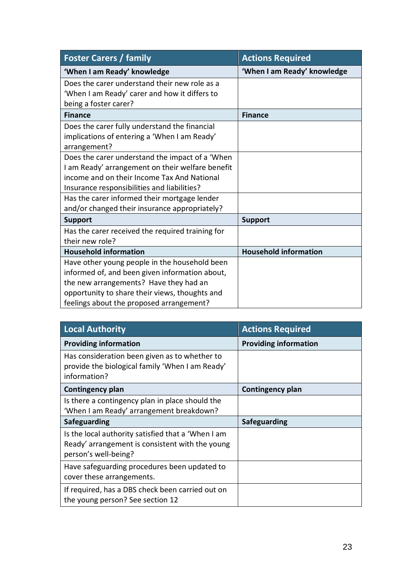| <b>Foster Carers / family</b>                    | <b>Actions Required</b>      |
|--------------------------------------------------|------------------------------|
| 'When I am Ready' knowledge                      | 'When I am Ready' knowledge  |
| Does the carer understand their new role as a    |                              |
| 'When I am Ready' carer and how it differs to    |                              |
| being a foster carer?                            |                              |
| <b>Finance</b>                                   | <b>Finance</b>               |
| Does the carer fully understand the financial    |                              |
| implications of entering a 'When I am Ready'     |                              |
| arrangement?                                     |                              |
| Does the carer understand the impact of a 'When  |                              |
| I am Ready' arrangement on their welfare benefit |                              |
| income and on their Income Tax And National      |                              |
| Insurance responsibilities and liabilities?      |                              |
| Has the carer informed their mortgage lender     |                              |
| and/or changed their insurance appropriately?    |                              |
| <b>Support</b>                                   | <b>Support</b>               |
| Has the carer received the required training for |                              |
| their new role?                                  |                              |
| <b>Household information</b>                     | <b>Household information</b> |
| Have other young people in the household been    |                              |
| informed of, and been given information about,   |                              |
| the new arrangements? Have they had an           |                              |
| opportunity to share their views, thoughts and   |                              |
| feelings about the proposed arrangement?         |                              |

| <b>Local Authority</b>                                                                                                        | <b>Actions Required</b>      |  |
|-------------------------------------------------------------------------------------------------------------------------------|------------------------------|--|
| <b>Providing information</b>                                                                                                  | <b>Providing information</b> |  |
| Has consideration been given as to whether to<br>provide the biological family 'When I am Ready'<br>information?              |                              |  |
| <b>Contingency plan</b>                                                                                                       | <b>Contingency plan</b>      |  |
| Is there a contingency plan in place should the<br>'When I am Ready' arrangement breakdown?                                   |                              |  |
| <b>Safeguarding</b>                                                                                                           | Safeguarding                 |  |
| Is the local authority satisfied that a 'When I am<br>Ready' arrangement is consistent with the young<br>person's well-being? |                              |  |
| Have safeguarding procedures been updated to<br>cover these arrangements.                                                     |                              |  |
| If required, has a DBS check been carried out on<br>the young person? See section 12                                          |                              |  |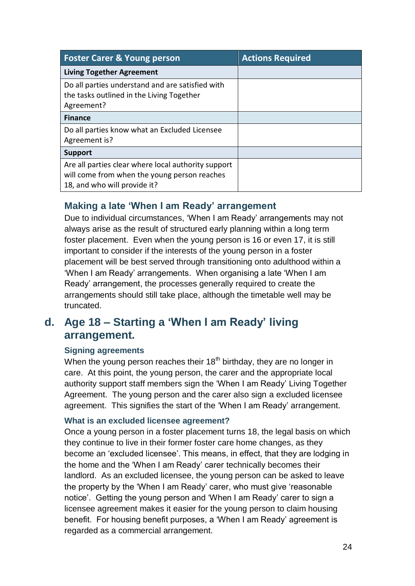| <b>Foster Carer &amp; Young person</b>                                                                                              | <b>Actions Required</b> |
|-------------------------------------------------------------------------------------------------------------------------------------|-------------------------|
| <b>Living Together Agreement</b>                                                                                                    |                         |
| Do all parties understand and are satisfied with<br>the tasks outlined in the Living Together<br>Agreement?                         |                         |
| <b>Finance</b>                                                                                                                      |                         |
| Do all parties know what an Excluded Licensee<br>Agreement is?                                                                      |                         |
| <b>Support</b>                                                                                                                      |                         |
| Are all parties clear where local authority support<br>will come from when the young person reaches<br>18, and who will provide it? |                         |

# **Making a late 'When I am Ready' arrangement**

Due to individual circumstances, 'When I am Ready' arrangements may not always arise as the result of structured early planning within a long term foster placement. Even when the young person is 16 or even 17, it is still important to consider if the interests of the young person in a foster placement will be best served through transitioning onto adulthood within a 'When I am Ready' arrangements. When organising a late 'When I am Ready' arrangement, the processes generally required to create the arrangements should still take place, although the timetable well may be truncated.

# <span id="page-25-0"></span>**d. Age 18 – Starting a 'When I am Ready' living arrangement.**

# **Signing agreements**

When the young person reaches their  $18<sup>th</sup>$  birthday, they are no longer in care. At this point, the young person, the carer and the appropriate local authority support staff members sign the 'When I am Ready' Living Together Agreement. The young person and the carer also sign a excluded licensee agreement. This signifies the start of the 'When I am Ready' arrangement.

# **What is an excluded licensee agreement?**

Once a young person in a foster placement turns 18, the legal basis on which they continue to live in their former foster care home changes, as they become an 'excluded licensee'. This means, in effect, that they are lodging in the home and the 'When I am Ready' carer technically becomes their landlord. As an excluded licensee, the young person can be asked to leave the property by the 'When I am Ready' carer, who must give 'reasonable notice'. Getting the young person and 'When I am Ready' carer to sign a licensee agreement makes it easier for the young person to claim housing benefit. For housing benefit purposes, a 'When I am Ready' agreement is regarded as a commercial arrangement.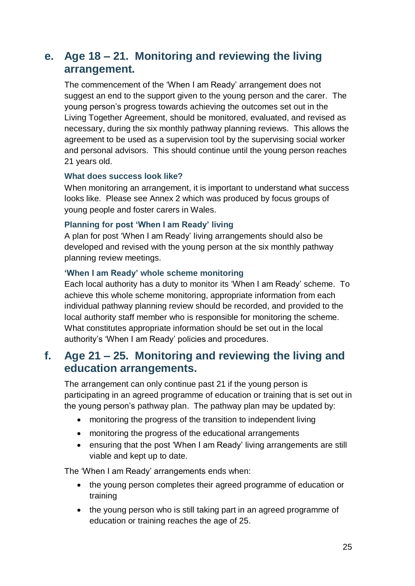# <span id="page-26-0"></span>**e. Age 18 – 21. Monitoring and reviewing the living arrangement.**

The commencement of the 'When I am Ready' arrangement does not suggest an end to the support given to the young person and the carer. The young person's progress towards achieving the outcomes set out in the Living Together Agreement, should be monitored, evaluated, and revised as necessary, during the six monthly pathway planning reviews. This allows the agreement to be used as a supervision tool by the supervising social worker and personal advisors. This should continue until the young person reaches 21 years old.

# **What does success look like?**

When monitoring an arrangement, it is important to understand what success looks like. Please see Annex 2 which was produced by focus groups of young people and foster carers in Wales.

# **Planning for post 'When I am Ready' living**

A plan for post 'When I am Ready' living arrangements should also be developed and revised with the young person at the six monthly pathway planning review meetings.

# **'When I am Ready' whole scheme monitoring**

Each local authority has a duty to monitor its 'When I am Ready' scheme. To achieve this whole scheme monitoring, appropriate information from each individual pathway planning review should be recorded, and provided to the local authority staff member who is responsible for monitoring the scheme. What constitutes appropriate information should be set out in the local authority's 'When I am Ready' policies and procedures.

# <span id="page-26-1"></span>**f. Age 21 – 25. Monitoring and reviewing the living and education arrangements.**

The arrangement can only continue past 21 if the young person is participating in an agreed programme of education or training that is set out in the young person's pathway plan. The pathway plan may be updated by:

- monitoring the progress of the transition to independent living
- monitoring the progress of the educational arrangements
- ensuring that the post 'When I am Ready' living arrangements are still viable and kept up to date.

The 'When I am Ready' arrangements ends when:

- the young person completes their agreed programme of education or training
- the young person who is still taking part in an agreed programme of education or training reaches the age of 25.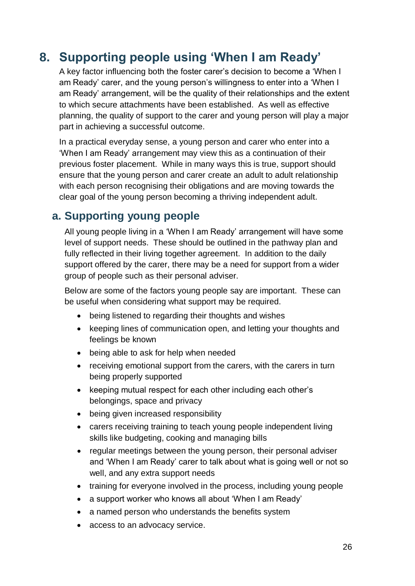# <span id="page-27-0"></span>**8. Supporting people using 'When I am Ready'**

A key factor influencing both the foster carer's decision to become a 'When I am Ready' carer, and the young person's willingness to enter into a 'When I am Ready' arrangement, will be the quality of their relationships and the extent to which secure attachments have been established. As well as effective planning, the quality of support to the carer and young person will play a major part in achieving a successful outcome.

In a practical everyday sense, a young person and carer who enter into a 'When I am Ready' arrangement may view this as a continuation of their previous foster placement. While in many ways this is true, support should ensure that the young person and carer create an adult to adult relationship with each person recognising their obligations and are moving towards the clear goal of the young person becoming a thriving independent adult.

# <span id="page-27-1"></span>**a. Supporting young people**

All young people living in a 'When I am Ready' arrangement will have some level of support needs. These should be outlined in the pathway plan and fully reflected in their living together agreement. In addition to the daily support offered by the carer, there may be a need for support from a wider group of people such as their personal adviser.

Below are some of the factors young people say are important. These can be useful when considering what support may be required.

- being listened to regarding their thoughts and wishes
- keeping lines of communication open, and letting your thoughts and feelings be known
- being able to ask for help when needed
- receiving emotional support from the carers, with the carers in turn being properly supported
- keeping mutual respect for each other including each other's belongings, space and privacy
- being given increased responsibility
- carers receiving training to teach young people independent living skills like budgeting, cooking and managing bills
- regular meetings between the young person, their personal adviser and 'When I am Ready' carer to talk about what is going well or not so well, and any extra support needs
- training for everyone involved in the process, including young people
- a support worker who knows all about 'When I am Ready'
- a named person who understands the benefits system
- access to an advocacy service.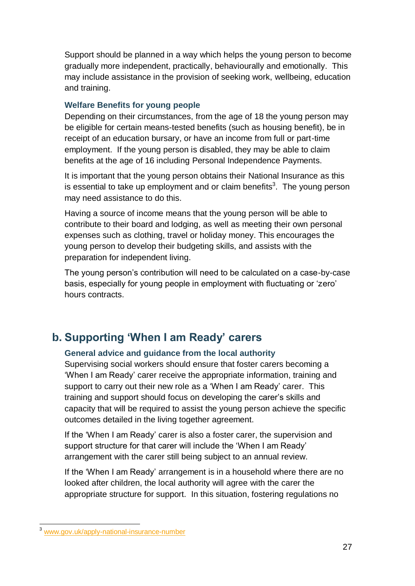Support should be planned in a way which helps the young person to become gradually more independent, practically, behaviourally and emotionally. This may include assistance in the provision of seeking work, wellbeing, education and training.

# **Welfare Benefits for young people**

Depending on their circumstances, from the age of 18 the young person may be eligible for certain means-tested benefits (such as housing benefit), be in receipt of an education bursary, or have an income from full or part-time employment. If the young person is disabled, they may be able to claim benefits at the age of 16 including Personal Independence Payments.

It is important that the young person obtains their National Insurance as this is essential to take up employment and or claim benefits<sup>3</sup>. The young person may need assistance to do this.

Having a source of income means that the young person will be able to contribute to their board and lodging, as well as meeting their own personal expenses such as clothing, travel or holiday money. This encourages the young person to develop their budgeting skills, and assists with the preparation for independent living.

The young person's contribution will need to be calculated on a case-by-case basis, especially for young people in employment with fluctuating or 'zero' hours contracts.

# <span id="page-28-0"></span>**b. Supporting 'When I am Ready' carers**

# **General advice and guidance from the local authority**

Supervising social workers should ensure that foster carers becoming a 'When I am Ready' carer receive the appropriate information, training and support to carry out their new role as a 'When I am Ready' carer. This training and support should focus on developing the carer's skills and capacity that will be required to assist the young person achieve the specific outcomes detailed in the living together agreement.

If the 'When I am Ready' carer is also a foster carer, the supervision and support structure for that carer will include the 'When I am Ready' arrangement with the carer still being subject to an annual review.

If the 'When I am Ready' arrangement is in a household where there are no looked after children, the local authority will agree with the carer the appropriate structure for support. In this situation, fostering regulations no

<sup>1</sup> <sup>3</sup> [www.gov.uk/apply-national-insurance-number](http://www.gov.uk/apply-national-insurance-number)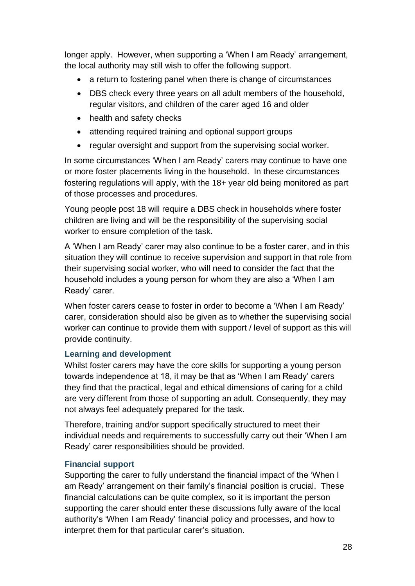longer apply. However, when supporting a 'When I am Ready' arrangement, the local authority may still wish to offer the following support.

- a return to fostering panel when there is change of circumstances
- DBS check every three years on all adult members of the household, regular visitors, and children of the carer aged 16 and older
- health and safety checks
- attending required training and optional support groups
- regular oversight and support from the supervising social worker.

In some circumstances 'When I am Ready' carers may continue to have one or more foster placements living in the household. In these circumstances fostering regulations will apply, with the 18+ year old being monitored as part of those processes and procedures.

Young people post 18 will require a DBS check in households where foster children are living and will be the responsibility of the supervising social worker to ensure completion of the task.

A 'When I am Ready' carer may also continue to be a foster carer, and in this situation they will continue to receive supervision and support in that role from their supervising social worker, who will need to consider the fact that the household includes a young person for whom they are also a 'When I am Ready' carer.

When foster carers cease to foster in order to become a 'When I am Ready' carer, consideration should also be given as to whether the supervising social worker can continue to provide them with support / level of support as this will provide continuity.

# **Learning and development**

Whilst foster carers may have the core skills for supporting a young person towards independence at 18, it may be that as 'When I am Ready' carers they find that the practical, legal and ethical dimensions of caring for a child are very different from those of supporting an adult. Consequently, they may not always feel adequately prepared for the task.

Therefore, training and/or support specifically structured to meet their individual needs and requirements to successfully carry out their 'When I am Ready' carer responsibilities should be provided.

# **Financial support**

Supporting the carer to fully understand the financial impact of the 'When I am Ready' arrangement on their family's financial position is crucial. These financial calculations can be quite complex, so it is important the person supporting the carer should enter these discussions fully aware of the local authority's 'When I am Ready' financial policy and processes, and how to interpret them for that particular carer's situation.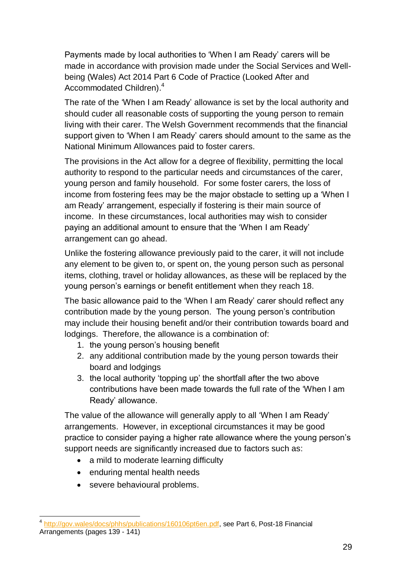Payments made by local authorities to 'When I am Ready' carers will be made in accordance with provision made under the Social Services and Wellbeing (Wales) Act 2014 Part 6 Code of Practice (Looked After and Accommodated Children).<sup>4</sup>

The rate of the 'When I am Ready' allowance is set by the local authority and should cuder all reasonable costs of supporting the young person to remain living with their carer. The Welsh Government recommends that the financial support given to 'When I am Ready' carers should amount to the same as the National Minimum Allowances paid to foster carers.

The provisions in the Act allow for a degree of flexibility, permitting the local authority to respond to the particular needs and circumstances of the carer, young person and family household. For some foster carers, the loss of income from fostering fees may be the major obstacle to setting up a 'When I am Ready' arrangement, especially if fostering is their main source of income. In these circumstances, local authorities may wish to consider paying an additional amount to ensure that the 'When I am Ready' arrangement can go ahead.

Unlike the fostering allowance previously paid to the carer, it will not include any element to be given to, or spent on, the young person such as personal items, clothing, travel or holiday allowances, as these will be replaced by the young person's earnings or benefit entitlement when they reach 18.

The basic allowance paid to the 'When I am Ready' carer should reflect any contribution made by the young person. The young person's contribution may include their housing benefit and/or their contribution towards board and lodgings. Therefore, the allowance is a combination of:

- 1. the young person's housing benefit
- 2. any additional contribution made by the young person towards their board and lodgings
- 3. the local authority 'topping up' the shortfall after the two above contributions have been made towards the full rate of the 'When I am Ready' allowance.

The value of the allowance will generally apply to all 'When I am Ready' arrangements. However, in exceptional circumstances it may be good practice to consider paying a higher rate allowance where the young person's support needs are significantly increased due to factors such as:

- a mild to moderate learning difficulty
- enduring mental health needs
- severe behavioural problems.

 4 [http://gov.wales/docs/phhs/publications/160106pt6en.pdf,](http://gov.wales/docs/phhs/publications/160106pt6en.pdf) see Part 6, Post-18 Financial Arrangements (pages 139 - 141)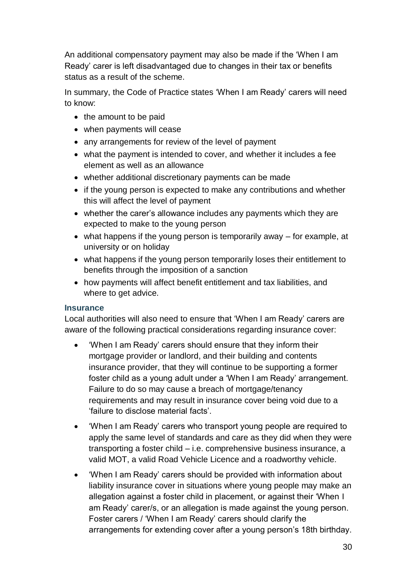An additional compensatory payment may also be made if the 'When I am Ready' carer is left disadvantaged due to changes in their tax or benefits status as a result of the scheme.

In summary, the Code of Practice states 'When I am Ready' carers will need to know:

- the amount to be paid
- when payments will cease
- any arrangements for review of the level of payment
- what the payment is intended to cover, and whether it includes a fee element as well as an allowance
- whether additional discretionary payments can be made
- if the young person is expected to make any contributions and whether this will affect the level of payment
- whether the carer's allowance includes any payments which they are expected to make to the young person
- $\bullet$  what happens if the young person is temporarily away for example, at university or on holiday
- what happens if the young person temporarily loses their entitlement to benefits through the imposition of a sanction
- how payments will affect benefit entitlement and tax liabilities, and where to get advice.

# **Insurance**

Local authorities will also need to ensure that 'When I am Ready' carers are aware of the following practical considerations regarding insurance cover:

- 'When I am Ready' carers should ensure that they inform their mortgage provider or landlord, and their building and contents insurance provider, that they will continue to be supporting a former foster child as a young adult under a 'When I am Ready' arrangement. Failure to do so may cause a breach of mortgage/tenancy requirements and may result in insurance cover being void due to a 'failure to disclose material facts'.
- 'When I am Ready' carers who transport young people are required to apply the same level of standards and care as they did when they were transporting a foster child – i.e. comprehensive business insurance, a valid MOT, a valid Road Vehicle Licence and a roadworthy vehicle.
- 'When I am Ready' carers should be provided with information about liability insurance cover in situations where young people may make an allegation against a foster child in placement, or against their 'When I am Ready' carer/s, or an allegation is made against the young person. Foster carers / 'When I am Ready' carers should clarify the arrangements for extending cover after a young person's 18th birthday.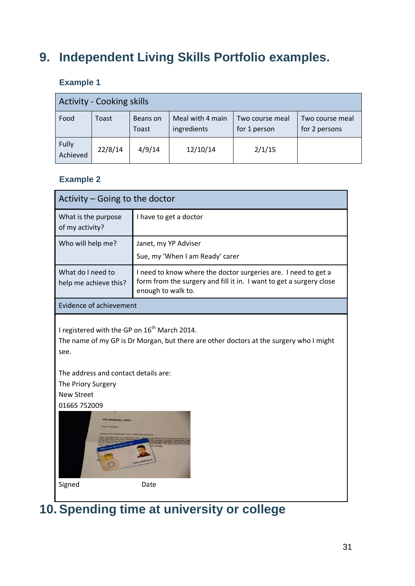# <span id="page-32-0"></span>**9. Independent Living Skills Portfolio examples.**

# **Example 1**

| <b>Activity - Cooking skills</b> |         |                   |                                 |                                 |                                  |
|----------------------------------|---------|-------------------|---------------------------------|---------------------------------|----------------------------------|
| Food                             | Toast   | Beans on<br>Toast | Meal with 4 main<br>ingredients | Two course meal<br>for 1 person | Two course meal<br>for 2 persons |
| Fully<br>Achieved                | 22/8/14 | 4/9/14            | 12/10/14                        | 2/1/15                          |                                  |

# **Example 2**

| Activity $-$ Going to the doctor           |                                                                                                                                                             |  |
|--------------------------------------------|-------------------------------------------------------------------------------------------------------------------------------------------------------------|--|
| What is the purpose<br>of my activity?     | I have to get a doctor                                                                                                                                      |  |
| Who will help me?                          | Janet, my YP Adviser<br>Sue, my 'When I am Ready' carer                                                                                                     |  |
| What do I need to<br>help me achieve this? | I need to know where the doctor surgeries are. I need to get a<br>form from the surgery and fill it in. I want to get a surgery close<br>enough to walk to. |  |
| Evidence of achievement                    |                                                                                                                                                             |  |

I registered with the GP on  $16^{\text{th}}$  March 2014.

The name of my GP is Dr Morgan, but there are other doctors at the surgery who I might see.

The address and contact details are: The Priory Surgery New Street 01665 752009



<span id="page-32-1"></span>**10. Spending time at university or college**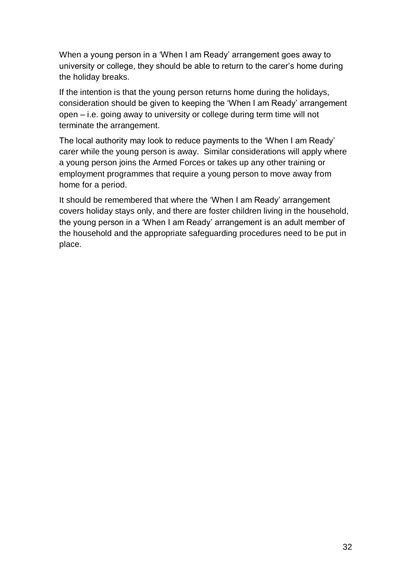When a young person in a 'When I am Ready' arrangement goes away to university or college, they should be able to return to the carer's home during the holiday breaks.

If the intention is that the young person returns home during the holidays, consideration should be given to keeping the 'When I am Ready' arrangement open – i.e. going away to university or college during term time will not terminate the arrangement.

The local authority may look to reduce payments to the 'When I am Ready' carer while the young person is away. Similar considerations will apply where a young person joins the Armed Forces or takes up any other training or employment programmes that require a young person to move away from home for a period.

It should be remembered that where the 'When I am Ready' arrangement covers holiday stays only, and there are foster children living in the household, the young person in a 'When I am Ready' arrangement is an adult member of the household and the appropriate safeguarding procedures need to be put in place.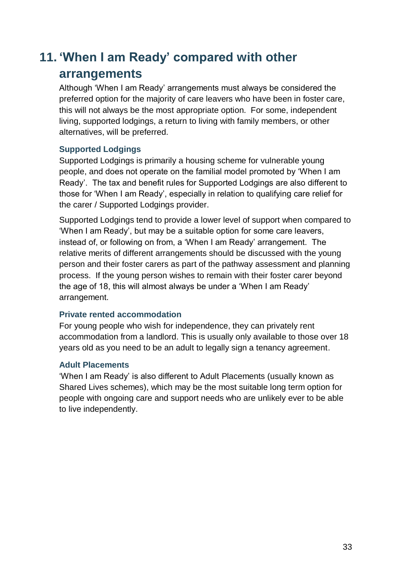# <span id="page-34-0"></span>**11. 'When I am Ready' compared with other arrangements**

Although 'When I am Ready' arrangements must always be considered the preferred option for the majority of care leavers who have been in foster care, this will not always be the most appropriate option. For some, independent living, supported lodgings, a return to living with family members, or other alternatives, will be preferred.

# **Supported Lodgings**

Supported Lodgings is primarily a housing scheme for vulnerable young people, and does not operate on the familial model promoted by 'When I am Ready'. The tax and benefit rules for Supported Lodgings are also different to those for 'When I am Ready', especially in relation to qualifying care relief for the carer / Supported Lodgings provider.

Supported Lodgings tend to provide a lower level of support when compared to 'When I am Ready', but may be a suitable option for some care leavers, instead of, or following on from, a 'When I am Ready' arrangement. The relative merits of different arrangements should be discussed with the young person and their foster carers as part of the pathway assessment and planning process. If the young person wishes to remain with their foster carer beyond the age of 18, this will almost always be under a 'When I am Ready' arrangement.

# **Private rented accommodation**

For young people who wish for independence, they can privately rent accommodation from a landlord. This is usually only available to those over 18 years old as you need to be an adult to legally sign a tenancy agreement.

# **Adult Placements**

'When I am Ready' is also different to Adult Placements (usually known as Shared Lives schemes), which may be the most suitable long term option for people with ongoing care and support needs who are unlikely ever to be able to live independently.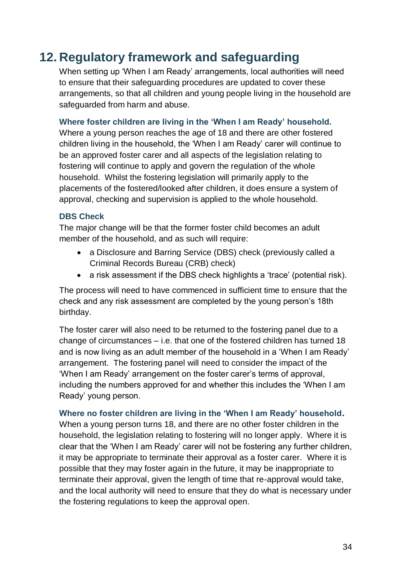# <span id="page-35-0"></span>**12. Regulatory framework and safeguarding**

When setting up 'When I am Ready' arrangements, local authorities will need to ensure that their safeguarding procedures are updated to cover these arrangements, so that all children and young people living in the household are safeguarded from harm and abuse.

#### **Where foster children are living in the 'When I am Ready' household.**

Where a young person reaches the age of 18 and there are other fostered children living in the household, the 'When I am Ready' carer will continue to be an approved foster carer and all aspects of the legislation relating to fostering will continue to apply and govern the regulation of the whole household. Whilst the fostering legislation will primarily apply to the placements of the fostered/looked after children, it does ensure a system of approval, checking and supervision is applied to the whole household.

#### **DBS Check**

The major change will be that the former foster child becomes an adult member of the household, and as such will require:

- a Disclosure and Barring Service (DBS) check (previously called a Criminal Records Bureau (CRB) check)
- a risk assessment if the DBS check highlights a 'trace' (potential risk).

The process will need to have commenced in sufficient time to ensure that the check and any risk assessment are completed by the young person's 18th birthday.

The foster carer will also need to be returned to the fostering panel due to a change of circumstances – i.e. that one of the fostered children has turned 18 and is now living as an adult member of the household in a 'When I am Ready' arrangement. The fostering panel will need to consider the impact of the 'When I am Ready' arrangement on the foster carer's terms of approval, including the numbers approved for and whether this includes the 'When I am Ready' young person.

# **Where no foster children are living in the 'When I am Ready' household.** When a young person turns 18, and there are no other foster children in the household, the legislation relating to fostering will no longer apply. Where it is clear that the 'When I am Ready' carer will not be fostering any further children, it may be appropriate to terminate their approval as a foster carer. Where it is possible that they may foster again in the future, it may be inappropriate to terminate their approval, given the length of time that re-approval would take, and the local authority will need to ensure that they do what is necessary under the fostering regulations to keep the approval open.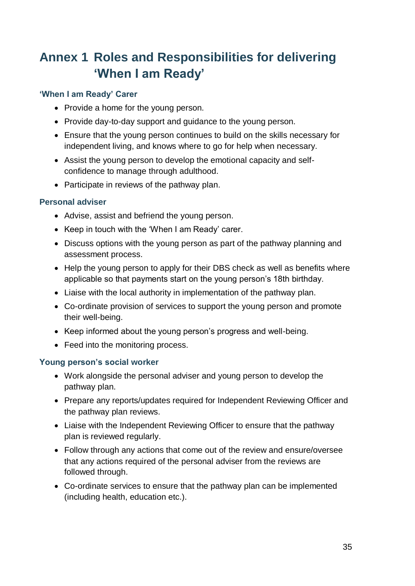# <span id="page-36-0"></span>**Annex 1 Roles and Responsibilities for delivering 'When I am Ready'**

#### **'When I am Ready' Carer**

- Provide a home for the young person.
- Provide day-to-day support and guidance to the young person.
- Ensure that the young person continues to build on the skills necessary for independent living, and knows where to go for help when necessary.
- Assist the young person to develop the emotional capacity and selfconfidence to manage through adulthood.
- Participate in reviews of the pathway plan.

# **Personal adviser**

- Advise, assist and befriend the young person.
- Keep in touch with the 'When I am Ready' carer.
- Discuss options with the young person as part of the pathway planning and assessment process.
- Help the young person to apply for their DBS check as well as benefits where applicable so that payments start on the young person's 18th birthday.
- Liaise with the local authority in implementation of the pathway plan.
- Co-ordinate provision of services to support the young person and promote their well-being.
- Keep informed about the young person's progress and well-being.
- Feed into the monitoring process.

# **Young person's social worker**

- Work alongside the personal adviser and young person to develop the pathway plan.
- Prepare any reports/updates required for Independent Reviewing Officer and the pathway plan reviews.
- Liaise with the Independent Reviewing Officer to ensure that the pathway plan is reviewed regularly.
- Follow through any actions that come out of the review and ensure/oversee that any actions required of the personal adviser from the reviews are followed through.
- Co-ordinate services to ensure that the pathway plan can be implemented (including health, education etc.).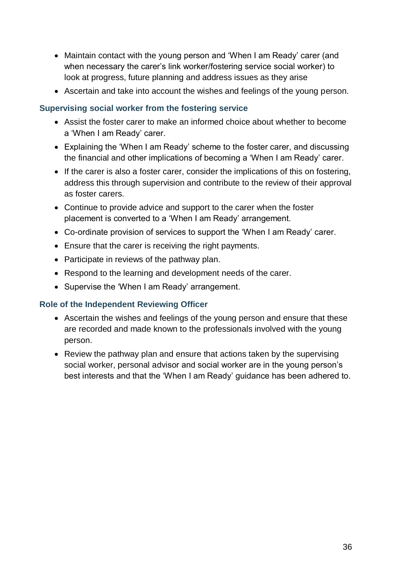- Maintain contact with the young person and 'When I am Ready' carer (and when necessary the carer's link worker/fostering service social worker) to look at progress, future planning and address issues as they arise
- Ascertain and take into account the wishes and feelings of the young person.

# **Supervising social worker from the fostering service**

- Assist the foster carer to make an informed choice about whether to become a 'When I am Ready' carer.
- Explaining the 'When I am Ready' scheme to the foster carer, and discussing the financial and other implications of becoming a 'When I am Ready' carer.
- If the carer is also a foster carer, consider the implications of this on fostering, address this through supervision and contribute to the review of their approval as foster carers.
- Continue to provide advice and support to the carer when the foster placement is converted to a 'When I am Ready' arrangement.
- Co-ordinate provision of services to support the 'When I am Ready' carer.
- Ensure that the carer is receiving the right payments.
- Participate in reviews of the pathway plan.
- Respond to the learning and development needs of the carer.
- Supervise the 'When I am Ready' arrangement.

# **Role of the Independent Reviewing Officer**

- Ascertain the wishes and feelings of the young person and ensure that these are recorded and made known to the professionals involved with the young person.
- Review the pathway plan and ensure that actions taken by the supervising social worker, personal advisor and social worker are in the young person's best interests and that the 'When I am Ready' guidance has been adhered to.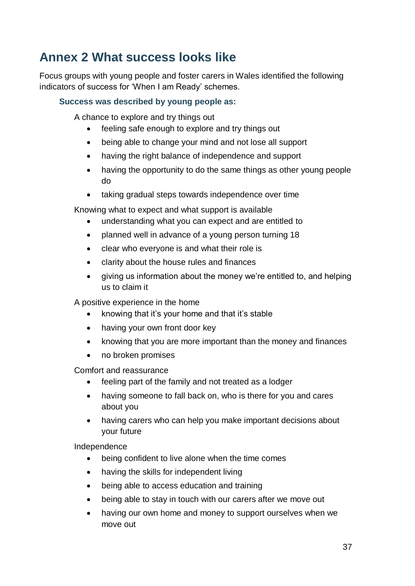# <span id="page-38-0"></span>**Annex 2 What success looks like**

Focus groups with young people and foster carers in Wales identified the following indicators of success for 'When I am Ready' schemes.

# **Success was described by young people as:**

A chance to explore and try things out

- feeling safe enough to explore and try things out
- being able to change your mind and not lose all support
- having the right balance of independence and support
- having the opportunity to do the same things as other young people do
- taking gradual steps towards independence over time

Knowing what to expect and what support is available

- understanding what you can expect and are entitled to
- planned well in advance of a young person turning 18
- clear who everyone is and what their role is
- clarity about the house rules and finances
- giving us information about the money we're entitled to, and helping us to claim it

A positive experience in the home

- knowing that it's your home and that it's stable
- having your own front door key
- knowing that you are more important than the money and finances
- no broken promises

Comfort and reassurance

- feeling part of the family and not treated as a lodger
- having someone to fall back on, who is there for you and cares about you
- having carers who can help you make important decisions about your future

Independence

- being confident to live alone when the time comes
- having the skills for independent living
- being able to access education and training
- being able to stay in touch with our carers after we move out
- having our own home and money to support ourselves when we move out